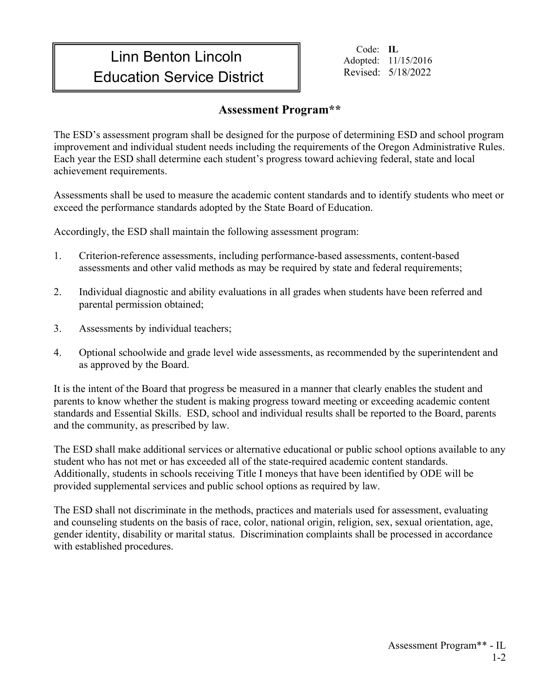## Linn Benton Lincoln **Education Service District** The Revised: 5/18/2022

Code: **IL** Adopted: 11/15/2016

## **Assessment Program\*\***

The ESD's assessment program shall be designed for the purpose of determining ESD and school program improvement and individual student needs including the requirements of the Oregon Administrative Rules. Each year the ESD shall determine each student's progress toward achieving federal, state and local achievement requirements.

Assessments shall be used to measure the academic content standards and to identify students who meet or exceed the performance standards adopted by the State Board of Education.

Accordingly, the ESD shall maintain the following assessment program:

- 1. Criterion-reference assessments, including performance-based assessments, content-based assessments and other valid methods as may be required by state and federal requirements;
- 2. Individual diagnostic and ability evaluations in all grades when students have been referred and parental permission obtained;
- 3. Assessments by individual teachers;
- 4. Optional schoolwide and grade level wide assessments, as recommended by the superintendent and as approved by the Board.

It is the intent of the Board that progress be measured in a manner that clearly enables the student and parents to know whether the student is making progress toward meeting or exceeding academic content standards and Essential Skills. ESD, school and individual results shall be reported to the Board, parents and the community, as prescribed by law.

The ESD shall make additional services or alternative educational or public school options available to any student who has not met or has exceeded all of the state-required academic content standards. Additionally, students in schools receiving Title I moneys that have been identified by ODE will be provided supplemental services and public school options as required by law.

The ESD shall not discriminate in the methods, practices and materials used for assessment, evaluating and counseling students on the basis of race, color, national origin, religion, sex, sexual orientation, age, gender identity, disability or marital status. Discrimination complaints shall be processed in accordance with established procedures.